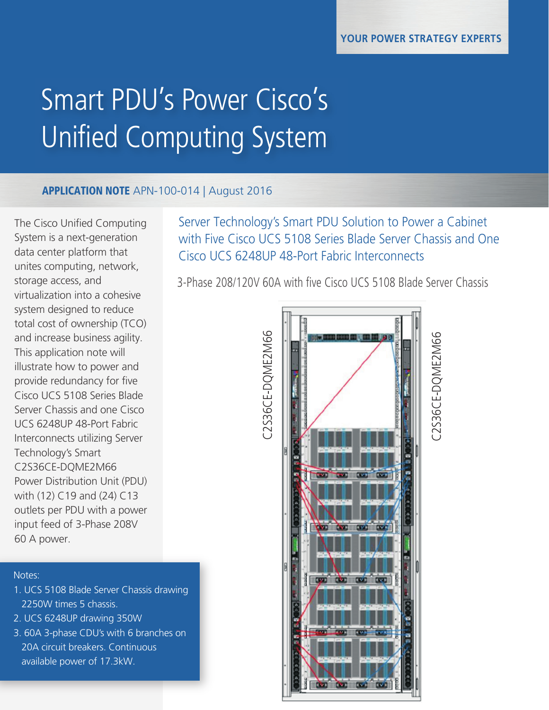# Smart PDU's Power Cisco's Unified Computing System

## APPLICATION NOTE APN-100-014 | August 2016

The Cisco Unified Computing System is a next-generation data center platform that unites computing, network, storage access, and virtualization into a cohesive system designed to reduce total cost of ownership (TCO) and increase business agility. This application note will illustrate how to power and provide redundancy for five Cisco UCS 5108 Series Blade Server Chassis and one Cisco UCS 6248UP 48-Port Fabric Interconnects utilizing Server Technology's Smart C2S36CE-DQME2M66 Power Distribution Unit (PDU) with (12) C19 and (24) C13 outlets per PDU with a power input feed of 3-Phase 208V 60 A power.

### Notes:

- 1. UCS 5108 Blade Server Chassis drawing 2250W times 5 chassis.
- 2. UCS 6248UP drawing 350W
- 3. 60A 3-phase CDU's with 6 branches on 20A circuit breakers. Continuous available power of 17.3kW.

Server Technology's Smart PDU Solution to Power a Cabinet with Five Cisco UCS 5108 Series Blade Server Chassis and One Cisco UCS 6248UP 48-Port Fabric Interconnects

3-Phase 208/120V 60A with five Cisco UCS 5108 Blade Server Chassis